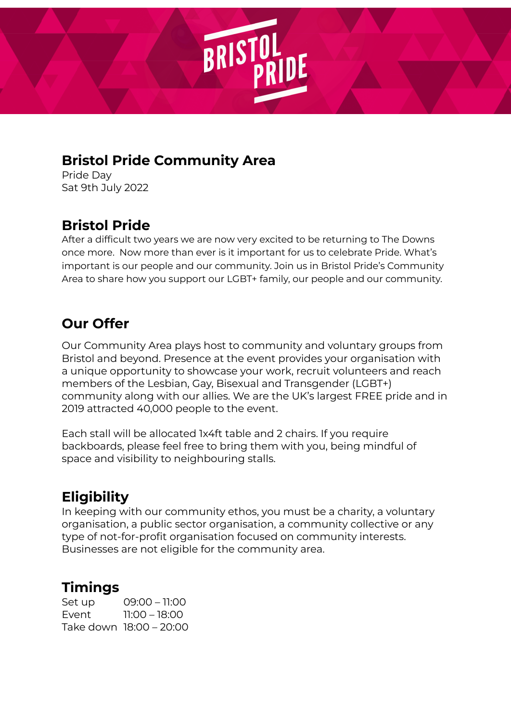

#### **Bristol Pride Community Area**

Pride Day Sat 9th July 2022

## **Bristol Pride**

After a difficult two years we are now very excited to be returning to The Downs once more. Now more than ever is it important for us to celebrate Pride. What's important is our people and our community. Join us in Bristol Pride's Community Area to share how you support our LGBT+ family, our people and our community.

### **Our Offer**

Our Community Area plays host to community and voluntary groups from Bristol and beyond. Presence at the event provides your organisation with a unique opportunity to showcase your work, recruit volunteers and reach members of the Lesbian, Gay, Bisexual and Transgender (LGBT+) community along with our allies. We are the UK's largest FREE pride and in 2019 attracted 40,000 people to the event.

Each stall will be allocated 1x4ft table and 2 chairs. If you require backboards, please feel free to bring them with you, being mindful of space and visibility to neighbouring stalls.

# **Eligibility**

In keeping with our community ethos, you must be a charity, a voluntary organisation, a public sector organisation, a community collective or any type of not-for-profit organisation focused on community interests. Businesses are not eligible for the community area.

### **Timings**

Set up 09:00 – 11:00 Event 11:00 – 18:00 Take down 18:00 – 20:00